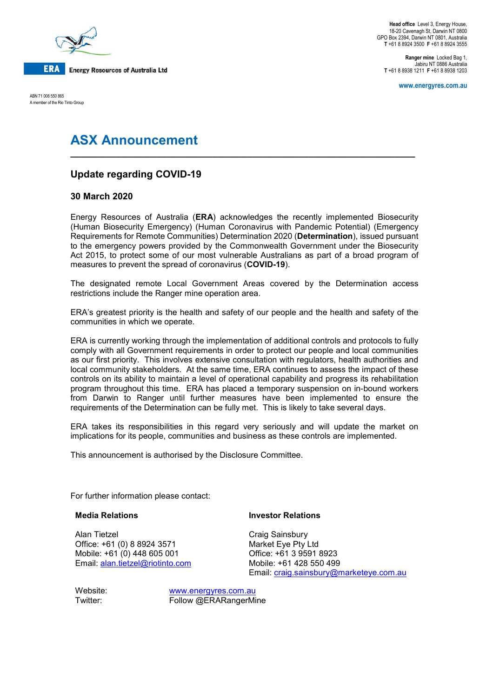

**Head office** Level 3, Energy House, 18-20 Cavenagh St, Darwin NT 0800 GPO Box 2394, Darwin NT 0801, Australia **T** +61 8 8924 3500 **F** +61 8 8924 3555

> **Ranger mine** Locked Bag 1, Jabiru NT 0886 Australia **T** +61 8 8938 1211 **F** +61 8 8938 1203

> > **www.energyres.com.au**

ABN 71 008 550 865 A member of the Rio Tinto Group

# **ASX Announcement**

## **Update regarding COVID-19**

### **30 March 2020**

Energy Resources of Australia (**ERA**) acknowledges the recently implemented Biosecurity (Human Biosecurity Emergency) (Human Coronavirus with Pandemic Potential) (Emergency Requirements for Remote Communities) Determination 2020 (**Determination**), issued pursuant to the emergency powers provided by the Commonwealth Government under the Biosecurity Act 2015, to protect some of our most vulnerable Australians as part of a broad program of measures to prevent the spread of coronavirus (**COVID-19**).

**\_\_\_\_\_\_\_\_\_\_\_\_\_\_\_\_\_\_\_\_\_\_\_\_\_\_\_\_\_\_\_\_\_\_\_\_\_\_\_\_\_\_\_\_\_\_\_\_\_\_\_\_\_\_\_\_\_\_\_\_\_\_\_\_\_\_\_\_**

The designated remote Local Government Areas covered by the Determination access restrictions include the Ranger mine operation area.

ERA's greatest priority is the health and safety of our people and the health and safety of the communities in which we operate.

ERA is currently working through the implementation of additional controls and protocols to fully comply with all Government requirements in order to protect our people and local communities as our first priority. This involves extensive consultation with regulators, health authorities and local community stakeholders. At the same time, ERA continues to assess the impact of these controls on its ability to maintain a level of operational capability and progress its rehabilitation program throughout this time. ERA has placed a temporary suspension on in-bound workers from Darwin to Ranger until further measures have been implemented to ensure the requirements of the Determination can be fully met. This is likely to take several days.

ERA takes its responsibilities in this regard very seriously and will update the market on implications for its people, communities and business as these controls are implemented.

This announcement is authorised by the Disclosure Committee.

For further information please contact:

#### **Media Relations**

Alan Tietzel Office: +61 (0) 8 8924 3571 Mobile: +61 (0) 448 605 001 Email: [alan.tietzel@riotinto.com](mailto:alan.tietzel@riotinto.com)

#### **Investor Relations**

Craig Sainsbury Market Eye Pty Ltd Office: +61 3 9591 8923 Mobile: +61 428 550 499 Email: [craig.sainsbury@marketeye.com.au](mailto:craig.sainsbury@marketeye.com.au)

Website: [www.energyres.com.au](http://www.energyres.com.au/) Twitter: Follow @ERARangerMine